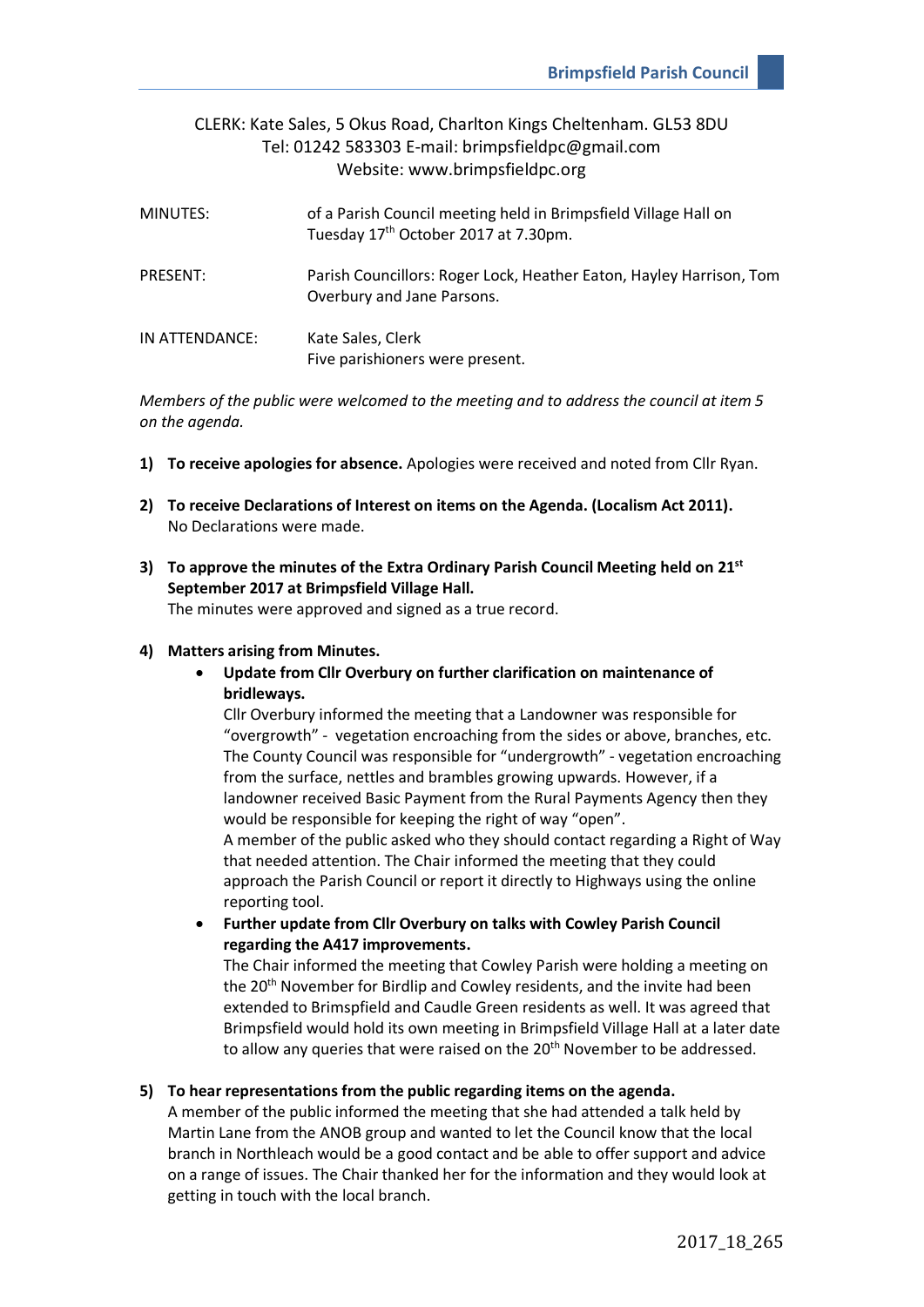# CLERK: Kate Sales, 5 Okus Road, Charlton Kings Cheltenham. GL53 8DU Tel: 01242 583303 E-mail: brimpsfieldpc@gmail.com Website: www.brimpsfieldpc.org

| MINUTES:       | of a Parish Council meeting held in Brimpsfield Village Hall on<br>Tuesday 17th October 2017 at 7.30pm. |
|----------------|---------------------------------------------------------------------------------------------------------|
| PRESENT:       | Parish Councillors: Roger Lock, Heather Eaton, Hayley Harrison, Tom<br>Overbury and Jane Parsons.       |
| IN ATTENDANCE: | Kate Sales, Clerk<br>Five parishioners were present.                                                    |

*Members of the public were welcomed to the meeting and to address the council at item 5 on the agenda.*

- **1) To receive apologies for absence.** Apologies were received and noted from Cllr Ryan.
- **2) To receive Declarations of Interest on items on the Agenda. (Localism Act 2011).** No Declarations were made.
- **3) To approve the minutes of the Extra Ordinary Parish Council Meeting held on 21st September 2017 at Brimpsfield Village Hall.**

The minutes were approved and signed as a true record.

## **4) Matters arising from Minutes.**

• **Update from Cllr Overbury on further clarification on maintenance of bridleways.**

Cllr Overbury informed the meeting that a Landowner was responsible for "overgrowth" - vegetation encroaching from the sides or above, branches, etc. The County Council was responsible for "undergrowth" - vegetation encroaching from the surface, nettles and brambles growing upwards. However, if a landowner received Basic Payment from the Rural Payments Agency then they would be responsible for keeping the right of way "open". A member of the public asked who they should contact regarding a Right of Way that needed attention. The Chair informed the meeting that they could approach the Parish Council or report it directly to Highways using the online reporting tool.

• **Further update from Cllr Overbury on talks with Cowley Parish Council regarding the A417 improvements.**

The Chair informed the meeting that Cowley Parish were holding a meeting on the 20<sup>th</sup> November for Birdlip and Cowley residents, and the invite had been extended to Brimspfield and Caudle Green residents as well. It was agreed that Brimpsfield would hold its own meeting in Brimpsfield Village Hall at a later date to allow any queries that were raised on the 20<sup>th</sup> November to be addressed.

### **5) To hear representations from the public regarding items on the agenda.**

A member of the public informed the meeting that she had attended a talk held by Martin Lane from the ANOB group and wanted to let the Council know that the local branch in Northleach would be a good contact and be able to offer support and advice on a range of issues. The Chair thanked her for the information and they would look at getting in touch with the local branch.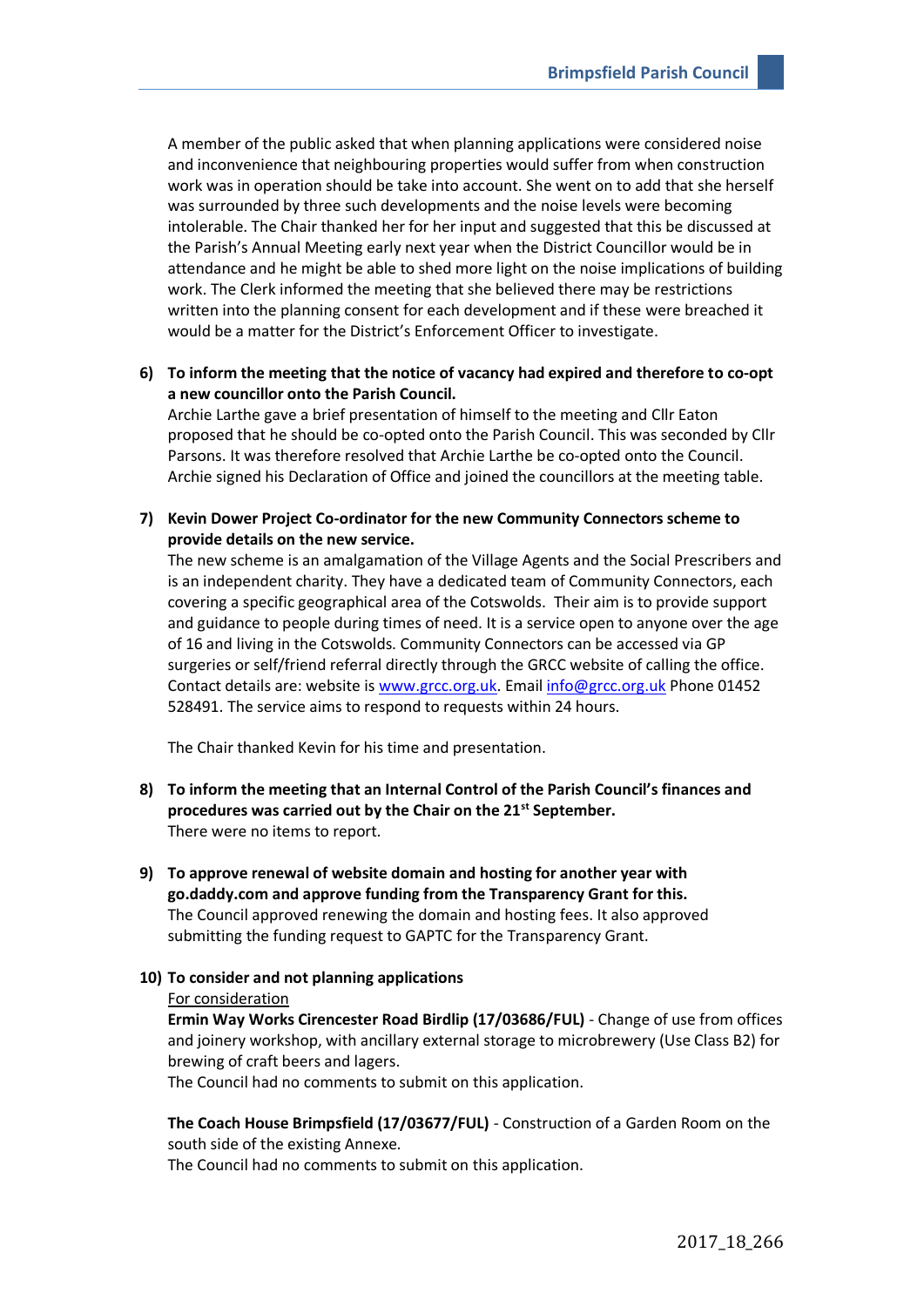A member of the public asked that when planning applications were considered noise and inconvenience that neighbouring properties would suffer from when construction work was in operation should be take into account. She went on to add that she herself was surrounded by three such developments and the noise levels were becoming intolerable. The Chair thanked her for her input and suggested that this be discussed at the Parish's Annual Meeting early next year when the District Councillor would be in attendance and he might be able to shed more light on the noise implications of building work. The Clerk informed the meeting that she believed there may be restrictions written into the planning consent for each development and if these were breached it would be a matter for the District's Enforcement Officer to investigate.

**6) To inform the meeting that the notice of vacancy had expired and therefore to co-opt a new councillor onto the Parish Council.** 

Archie Larthe gave a brief presentation of himself to the meeting and Cllr Eaton proposed that he should be co-opted onto the Parish Council. This was seconded by Cllr Parsons. It was therefore resolved that Archie Larthe be co-opted onto the Council. Archie signed his Declaration of Office and joined the councillors at the meeting table.

**7) Kevin Dower Project Co-ordinator for the new Community Connectors scheme to provide details on the new service.** 

The new scheme is an amalgamation of the Village Agents and the Social Prescribers and is an independent charity. They have a dedicated team of Community Connectors, each covering a specific geographical area of the Cotswolds. Their aim is to provide support and guidance to people during times of need. It is a service open to anyone over the age of 16 and living in the Cotswolds. Community Connectors can be accessed via GP surgeries or self/friend referral directly through the GRCC website of calling the office. Contact details are: website is [www.grcc.org.uk.](http://www.grcc.org.uk/) Email [info@grcc.org.uk](mailto:info@grcc.org.uk) Phone 01452 528491. The service aims to respond to requests within 24 hours.

The Chair thanked Kevin for his time and presentation.

- **8) To inform the meeting that an Internal Control of the Parish Council's finances and procedures was carried out by the Chair on the 21st September.** There were no items to report.
- **9) To approve renewal of website domain and hosting for another year with go.daddy.com and approve funding from the Transparency Grant for this.** The Council approved renewing the domain and hosting fees. It also approved submitting the funding request to GAPTC for the Transparency Grant.

## **10) To consider and not planning applications**

#### For consideration

**Ermin Way Works Cirencester Road Birdlip (17/03686/FUL)** - Change of use from offices and joinery workshop, with ancillary external storage to microbrewery (Use Class B2) for brewing of craft beers and lagers.

The Council had no comments to submit on this application.

**The Coach House Brimpsfield (17/03677/FUL)** - Construction of a Garden Room on the south side of the existing Annexe.

The Council had no comments to submit on this application.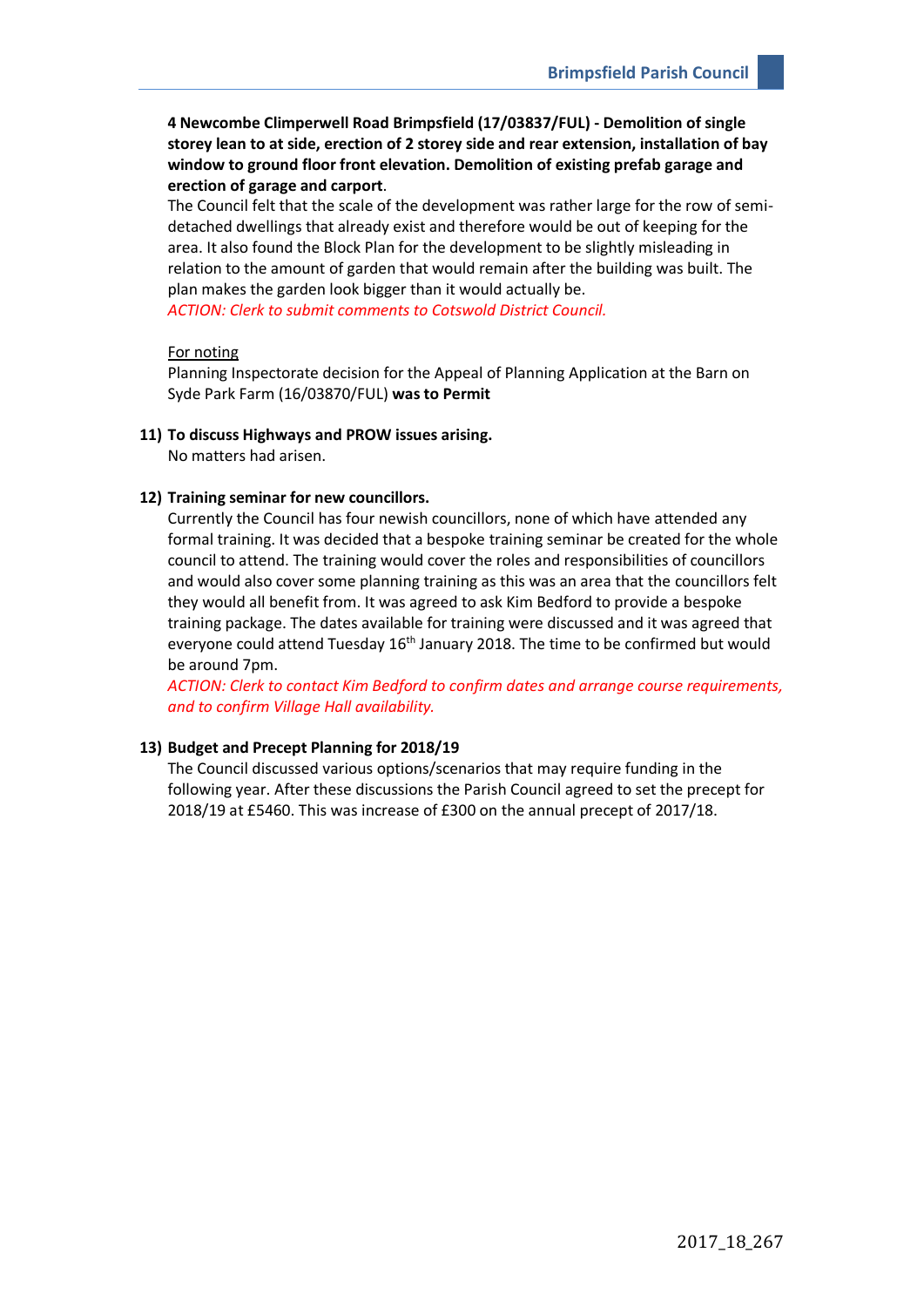**4 Newcombe Climperwell Road Brimpsfield (17/03837/FUL) - Demolition of single storey lean to at side, erection of 2 storey side and rear extension, installation of bay window to ground floor front elevation. Demolition of existing prefab garage and erection of garage and carport**.

The Council felt that the scale of the development was rather large for the row of semidetached dwellings that already exist and therefore would be out of keeping for the area. It also found the Block Plan for the development to be slightly misleading in relation to the amount of garden that would remain after the building was built. The plan makes the garden look bigger than it would actually be. *ACTION: Clerk to submit comments to Cotswold District Council.*

## For noting

Planning Inspectorate decision for the Appeal of Planning Application at the Barn on Syde Park Farm (16/03870/FUL) **was to Permit**

### **11) To discuss Highways and PROW issues arising.**

No matters had arisen.

### **12) Training seminar for new councillors.**

Currently the Council has four newish councillors, none of which have attended any formal training. It was decided that a bespoke training seminar be created for the whole council to attend. The training would cover the roles and responsibilities of councillors and would also cover some planning training as this was an area that the councillors felt they would all benefit from. It was agreed to ask Kim Bedford to provide a bespoke training package. The dates available for training were discussed and it was agreed that everyone could attend Tuesday 16<sup>th</sup> January 2018. The time to be confirmed but would be around 7pm.

*ACTION: Clerk to contact Kim Bedford to confirm dates and arrange course requirements, and to confirm Village Hall availability.*

## **13) Budget and Precept Planning for 2018/19**

The Council discussed various options/scenarios that may require funding in the following year. After these discussions the Parish Council agreed to set the precept for 2018/19 at £5460. This was increase of £300 on the annual precept of 2017/18.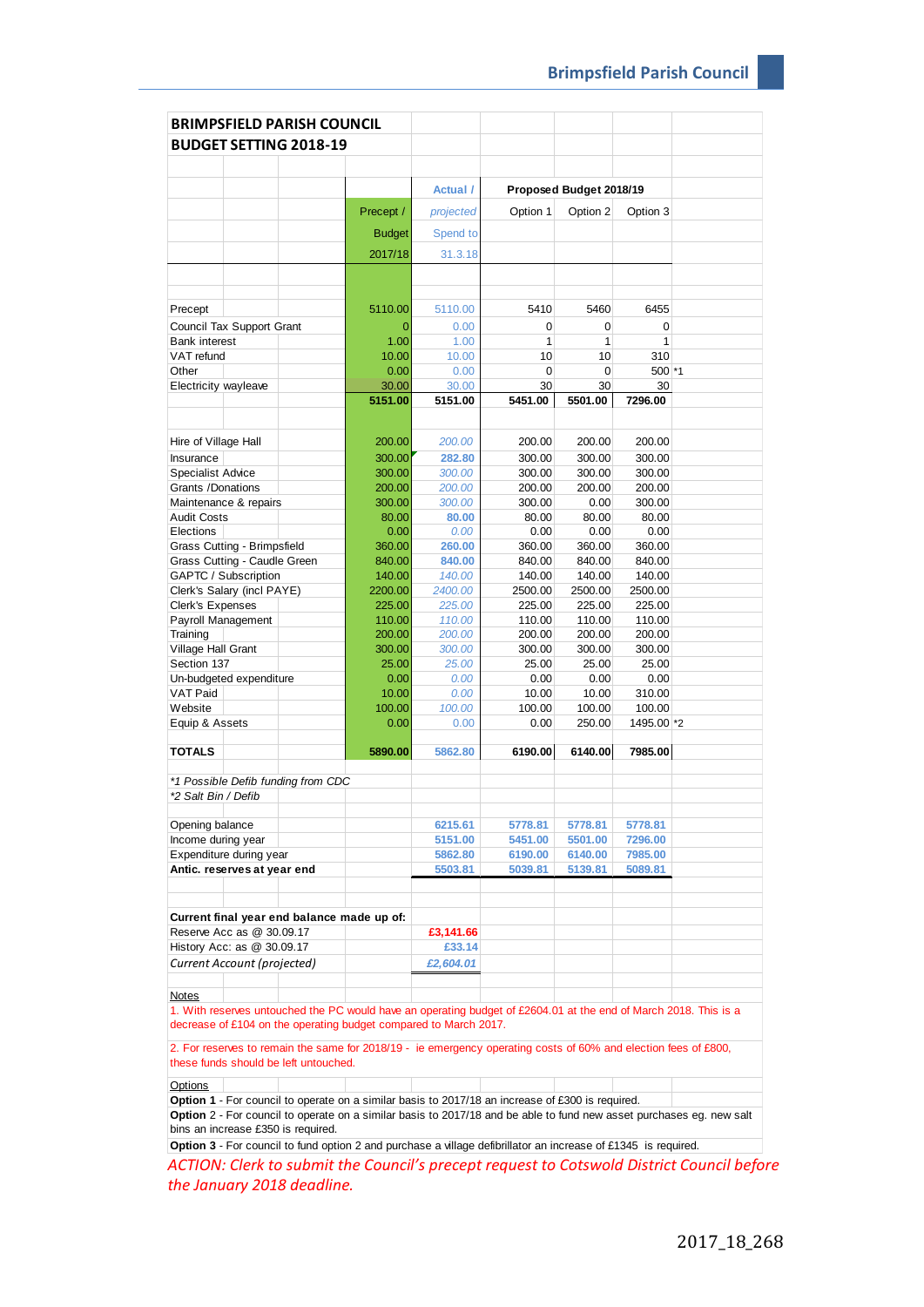| <b>BRIMPSFIELD PARISH COUNCIL</b>                                                                                    |                  |                  |                   |                         |                  |  |
|----------------------------------------------------------------------------------------------------------------------|------------------|------------------|-------------------|-------------------------|------------------|--|
| <b>BUDGET SETTING 2018-19</b>                                                                                        |                  |                  |                   |                         |                  |  |
|                                                                                                                      |                  |                  |                   |                         |                  |  |
|                                                                                                                      |                  |                  |                   |                         |                  |  |
|                                                                                                                      |                  | <b>Actual</b> /  |                   | Proposed Budget 2018/19 |                  |  |
|                                                                                                                      | Precept /        | projected        | Option 1          | Option 2                | Option 3         |  |
|                                                                                                                      | <b>Budget</b>    | Spend to         |                   |                         |                  |  |
|                                                                                                                      | 2017/18          | 31.3.18          |                   |                         |                  |  |
|                                                                                                                      |                  |                  |                   |                         |                  |  |
|                                                                                                                      |                  |                  |                   |                         |                  |  |
| Precept                                                                                                              | 5110.00          | 5110.00          | 5410              | 5460                    | 6455             |  |
| Council Tax Support Grant<br><b>Bank interest</b>                                                                    | 0<br>1.00        | 0.00<br>1.00     | 0<br>$\mathbf{1}$ | 0<br>1                  | 0<br>1           |  |
| VAT refund                                                                                                           | 10.00            | 10.00            | 10                | 10                      | 310              |  |
| Other                                                                                                                | 0.00             | 0.00             | 0                 | 0                       | 500 *1           |  |
| Electricity wayleave                                                                                                 | 30.00            | 30.00            | 30                | 30                      | 30               |  |
|                                                                                                                      | 5151.00          | 5151.00          | 5451.00           | 5501.00                 | 7296.00          |  |
|                                                                                                                      |                  |                  |                   |                         |                  |  |
| Hire of Village Hall                                                                                                 | 200.00           | 200.00           | 200.00            | 200.00                  | 200.00           |  |
| Insurance                                                                                                            | 300.00           | 282.80           | 300.00            | 300.00                  | 300.00           |  |
| <b>Specialist Advice</b>                                                                                             | 300.00           | 300.00           | 300.00            | 300.00                  | 300.00           |  |
| Grants /Donations                                                                                                    | 200.00           | 200.00           | 200.00            | 200.00                  | 200.00           |  |
| Maintenance & repairs                                                                                                | 300.00<br>80.00  | 300.00           | 300.00            | 0.00                    | 300.00           |  |
| <b>Audit Costs</b><br>Elections                                                                                      | 0.00             | 80.00<br>0.00    | 80.00<br>0.00     | 80.00<br>0.00           | 80.00<br>0.00    |  |
| Grass Cutting - Brimpsfield                                                                                          | 360.00           | 260.00           | 360.00            | 360.00                  | 360.00           |  |
| Grass Cutting - Caudle Green                                                                                         | 840.00           | 840.00           | 840.00            | 840.00                  | 840.00           |  |
| GAPTC / Subscription                                                                                                 | 140.00           | 140.00           | 140.00            | 140.00                  | 140.00           |  |
| Clerk's Salary (incl PAYE)                                                                                           | 2200.00          | 2400.00          | 2500.00           | 2500.00                 | 2500.00          |  |
| <b>Clerk's Expenses</b>                                                                                              | 225.00           | 225.00           | 225.00            | 225.00                  | 225.00           |  |
| Payroll Management                                                                                                   | 110.00           | 110.00           | 110.00            | 110.00                  | 110.00           |  |
| Training                                                                                                             | 200.00<br>300.00 | 200.00<br>300.00 | 200.00<br>300.00  | 200.00<br>300.00        | 200.00<br>300.00 |  |
| Village Hall Grant<br>Section 137                                                                                    | 25.00            | 25.00            | 25.00             | 25.00                   | 25.00            |  |
| Un-budgeted expenditure                                                                                              | 0.00             | 0.00             | 0.00              | 0.00                    | 0.00             |  |
| <b>VAT Paid</b>                                                                                                      | 10.00            | 0.00             | 10.00             | 10.00                   | 310.00           |  |
| Website                                                                                                              | 100.00           | 100.00           | 100.00            | 100.00                  | 100.00           |  |
| Equip & Assets                                                                                                       | 0.00             | 0.00             | 0.00              | 250.00                  | 1495.00 *2       |  |
| <b>TOTALS</b>                                                                                                        | 5890.00          | 5862.80          | 6190.00           | 6140.00                 | 7985.00          |  |
|                                                                                                                      |                  |                  |                   |                         |                  |  |
| *1 Possible Defib funding from CDC                                                                                   |                  |                  |                   |                         |                  |  |
| *2 Salt Bin / Defib                                                                                                  |                  |                  |                   |                         |                  |  |
| Opening balance                                                                                                      |                  | 6215.61          | 5778.81           | 5778.81                 | 5778.81          |  |
| Income during year                                                                                                   |                  | 5151.00          | 5451.00           | 5501.00                 | 7296.00          |  |
| Expenditure during year                                                                                              |                  | 5862.80          | 6190.00           | 6140.00                 | 7985.00          |  |
| Antic. reserves at year end                                                                                          |                  | 5503.81          | 5039.81           | 5139.81                 | 5089.81          |  |
|                                                                                                                      |                  |                  |                   |                         |                  |  |
| Current final year end balance made up of:                                                                           |                  |                  |                   |                         |                  |  |
| Reserve Acc as @ 30.09.17                                                                                            |                  | £3,141.66        |                   |                         |                  |  |
| History Acc: as @ 30.09.17                                                                                           |                  | £33.14           |                   |                         |                  |  |
| Current Account (projected)                                                                                          |                  | £2,604.01        |                   |                         |                  |  |
| <b>Notes</b>                                                                                                         |                  |                  |                   |                         |                  |  |
| 1. With reserves untouched the PC would have an operating budget of £2604.01 at the end of March 2018. This is a     |                  |                  |                   |                         |                  |  |
| decrease of £104 on the operating budget compared to March 2017.                                                     |                  |                  |                   |                         |                  |  |
| 2. For reserves to remain the same for 2018/19 - ie emergency operating costs of 60% and election fees of £800,      |                  |                  |                   |                         |                  |  |
| these funds should be left untouched.                                                                                |                  |                  |                   |                         |                  |  |
|                                                                                                                      |                  |                  |                   |                         |                  |  |
| Options<br>Option 1 - For council to operate on a similar basis to 2017/18 an increase of £300 is required.          |                  |                  |                   |                         |                  |  |
| Option 2 - For council to operate on a similar basis to 2017/18 and be able to fund new asset purchases eg. new salt |                  |                  |                   |                         |                  |  |
| bins an increase £350 is required.                                                                                   |                  |                  |                   |                         |                  |  |
|                                                                                                                      |                  |                  |                   |                         |                  |  |

*ACTION: Clerk to submit the Council's precept request to Cotswold District Council before*  **Option 3** - For council to fund option 2 and purchase a village defibrillator an increase of £1345 is required.

*the January 2018 deadline.*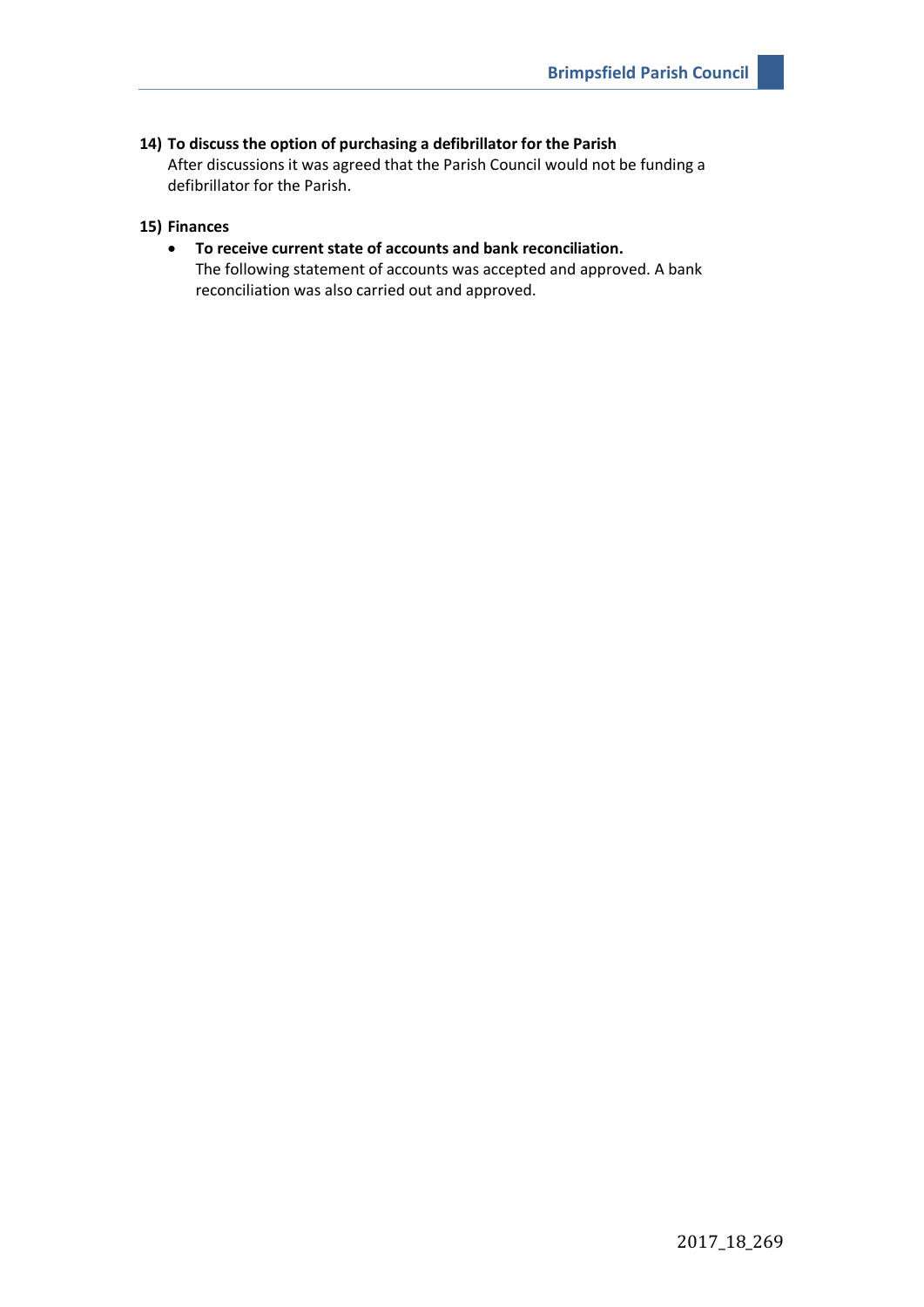## **14) To discuss the option of purchasing a defibrillator for the Parish**

After discussions it was agreed that the Parish Council would not be funding a defibrillator for the Parish.

## **15) Finances**

# • **To receive current state of accounts and bank reconciliation.** The following statement of accounts was accepted and approved. A bank reconciliation was also carried out and approved.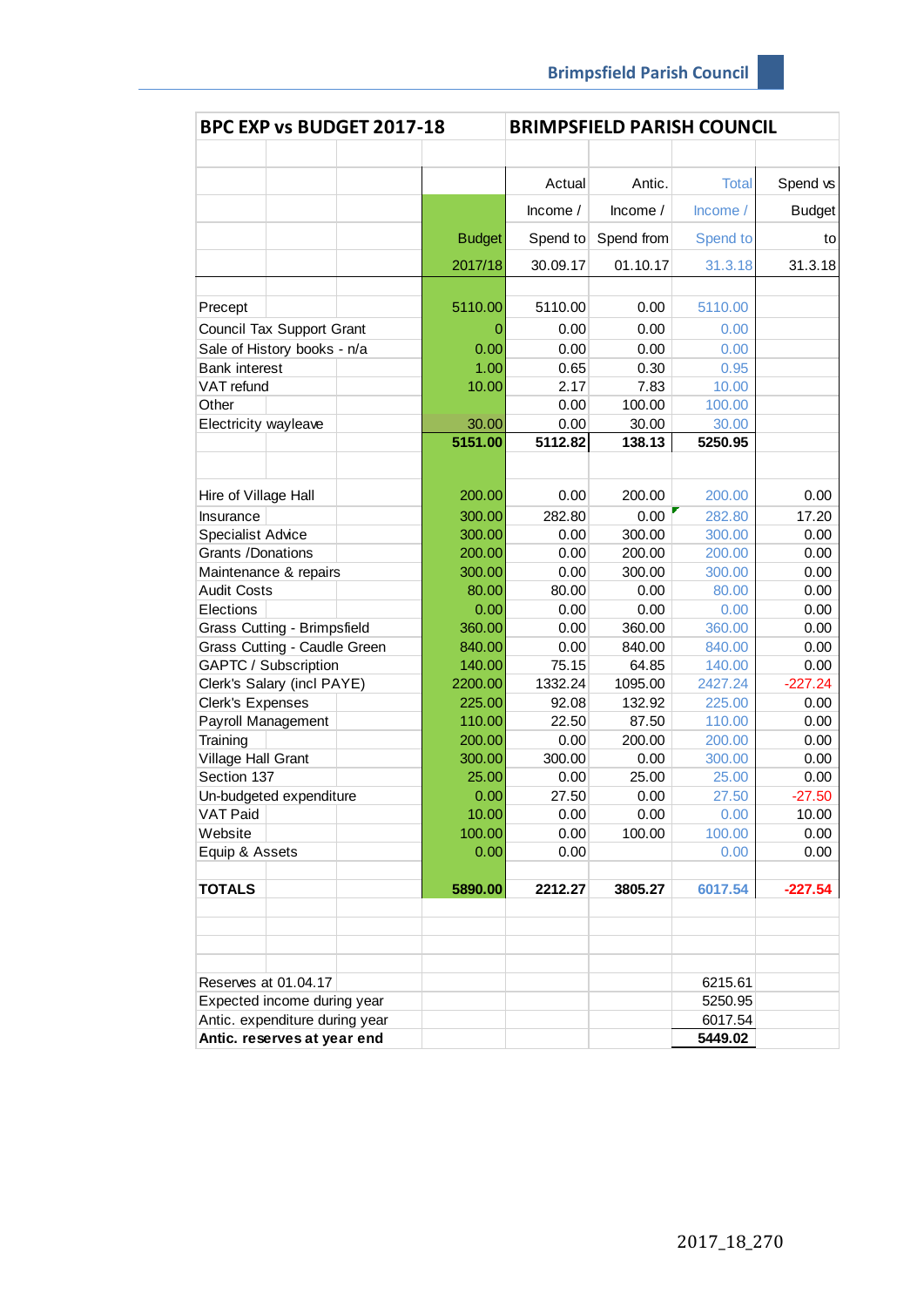| BPC EXP vs BUDGET 2017-18      |               |            |            | <b>BRIMPSFIELD PARISH COUNCIL</b> |               |
|--------------------------------|---------------|------------|------------|-----------------------------------|---------------|
|                                |               |            |            |                                   |               |
|                                |               | Actual     | Antic.     | <b>Total</b>                      | Spend vs      |
|                                |               | Income $/$ | Income $/$ | Income/                           | <b>Budget</b> |
|                                | <b>Budget</b> | Spend to   | Spend from | Spend to                          | to            |
|                                | 2017/18       | 30.09.17   | 01.10.17   | 31.3.18                           | 31.3.18       |
|                                |               |            |            |                                   |               |
| Precept                        | 5110.00       | 5110.00    | 0.00       | 5110.00                           |               |
| Council Tax Support Grant      | O             | 0.00       | 0.00       | 0.00                              |               |
| Sale of History books - n/a    | 0.00          | 0.00       | 0.00       | 0.00                              |               |
| <b>Bank interest</b>           | 1.00          | 0.65       | 0.30       | 0.95                              |               |
| VAT refund                     | 10.00         | 2.17       | 7.83       | 10.00                             |               |
| Other                          |               | 0.00       | 100.00     | 100.00                            |               |
| Electricity wayleave           | 30.00         | 0.00       | 30.00      | 30.00                             |               |
|                                | 5151.00       | 5112.82    | 138.13     | 5250.95                           |               |
|                                |               |            |            |                                   |               |
| Hire of Village Hall           | 200.00        | 0.00       | 200.00     | 200.00                            | 0.00          |
| Insurance                      | 300.00        | 282.80     | 0.00       | 282.80                            | 17.20         |
| <b>Specialist Advice</b>       | 300.00        | 0.00       | 300.00     | 300.00                            | 0.00          |
| Grants /Donations              | 200.00        | 0.00       | 200.00     | 200.00                            | 0.00          |
| Maintenance & repairs          | 300.00        | 0.00       | 300.00     | 300.00                            | 0.00          |
| <b>Audit Costs</b>             | 80.00         | 80.00      | 0.00       | 80.00                             | 0.00          |
| Elections                      | 0.00          | 0.00       | 0.00       | 0.00                              | 0.00          |
| Grass Cutting - Brimpsfield    | 360.00        | 0.00       | 360.00     | 360.00                            | 0.00          |
| Grass Cutting - Caudle Green   | 840.00        | 0.00       | 840.00     | 840.00                            | 0.00          |
| GAPTC / Subscription           | 140.00        | 75.15      | 64.85      | 140.00                            | 0.00          |
| Clerk's Salary (incl PAYE)     | 2200.00       | 1332.24    | 1095.00    | 2427.24                           | $-227.24$     |
| Clerk's Expenses               | 225.00        | 92.08      | 132.92     | 225.00                            | 0.00          |
| Payroll Management             | 110.00        | 22.50      | 87.50      | 110.00                            | 0.00          |
| Training                       | 200.00        | 0.00       | 200.00     | 200.00                            | 0.00          |
| Village Hall Grant             | 300.00        | 300.00     | 0.00       | 300.00                            | 0.00          |
| Section 137                    | 25.00         | 0.00       | 25.00      | 25.00                             | 0.00          |
| Un-budgeted expenditure        | 0.00          | 27.50      | 0.00       | 27.50                             | $-27.50$      |
| VAT Paid                       | 10.00         | 0.00       | 0.00       | 0.00                              | 10.00         |
| Website                        | 100.00        | 0.00       | 100.00     | 100.00                            | 0.00          |
| Equip & Assets                 | 0.00          | 0.00       |            | 0.00                              | 0.00          |
| <b>TOTALS</b>                  | 5890.00       | 2212.27    | 3805.27    | 6017.54                           | $-227.54$     |
|                                |               |            |            |                                   |               |
| Reserves at 01.04.17           |               |            |            | 6215.61                           |               |
| Expected income during year    |               |            |            | 5250.95                           |               |
| Antic. expenditure during year |               |            |            | 6017.54                           |               |
| Antic. reserves at year end    |               |            |            | 5449.02                           |               |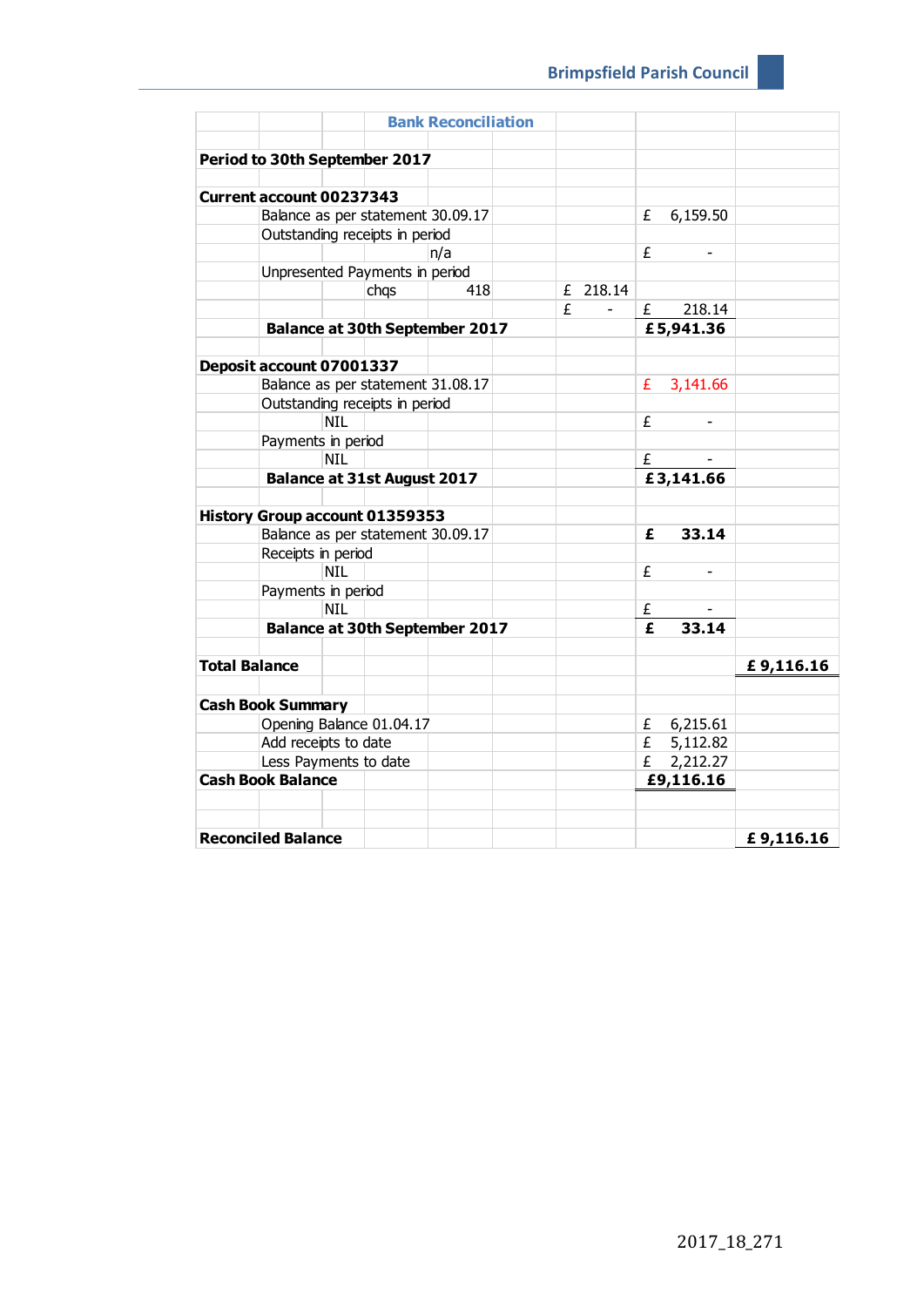| Period to 30th September 2017<br><b>Current account 00237343</b><br>Balance as per statement 30.09.17<br>6,159.50<br>£<br>Outstanding receipts in period<br>£<br>n/a<br>Unpresented Payments in period<br>chqs<br>418<br>£ 218.14<br>£<br>218.14<br>£<br>£5,941.36<br><b>Balance at 30th September 2017</b><br>Deposit account 07001337<br>Balance as per statement 31.08.17<br>£ $3,141.66$<br>Outstanding receipts in period<br><b>NIL</b><br>£<br>Payments in period<br><b>NIL</b><br>£<br>£3,141.66<br><b>Balance at 31st August 2017</b><br><b>History Group account 01359353</b><br>Balance as per statement 30.09.17<br>£<br>33.14<br>Receipts in period<br><b>NIL</b><br>£<br>Payments in period<br><b>NIL</b><br>£<br>33.14<br>$\overline{\mathbf{f}}$<br><b>Balance at 30th September 2017</b><br><b>Total Balance</b><br>£9,116.16 |                       |  |  |  | <b>Bank Reconciliation</b> |  |  |  |  |
|-----------------------------------------------------------------------------------------------------------------------------------------------------------------------------------------------------------------------------------------------------------------------------------------------------------------------------------------------------------------------------------------------------------------------------------------------------------------------------------------------------------------------------------------------------------------------------------------------------------------------------------------------------------------------------------------------------------------------------------------------------------------------------------------------------------------------------------------------|-----------------------|--|--|--|----------------------------|--|--|--|--|
|                                                                                                                                                                                                                                                                                                                                                                                                                                                                                                                                                                                                                                                                                                                                                                                                                                               |                       |  |  |  |                            |  |  |  |  |
|                                                                                                                                                                                                                                                                                                                                                                                                                                                                                                                                                                                                                                                                                                                                                                                                                                               |                       |  |  |  |                            |  |  |  |  |
|                                                                                                                                                                                                                                                                                                                                                                                                                                                                                                                                                                                                                                                                                                                                                                                                                                               |                       |  |  |  |                            |  |  |  |  |
|                                                                                                                                                                                                                                                                                                                                                                                                                                                                                                                                                                                                                                                                                                                                                                                                                                               |                       |  |  |  |                            |  |  |  |  |
|                                                                                                                                                                                                                                                                                                                                                                                                                                                                                                                                                                                                                                                                                                                                                                                                                                               |                       |  |  |  |                            |  |  |  |  |
|                                                                                                                                                                                                                                                                                                                                                                                                                                                                                                                                                                                                                                                                                                                                                                                                                                               |                       |  |  |  |                            |  |  |  |  |
|                                                                                                                                                                                                                                                                                                                                                                                                                                                                                                                                                                                                                                                                                                                                                                                                                                               |                       |  |  |  |                            |  |  |  |  |
|                                                                                                                                                                                                                                                                                                                                                                                                                                                                                                                                                                                                                                                                                                                                                                                                                                               |                       |  |  |  |                            |  |  |  |  |
|                                                                                                                                                                                                                                                                                                                                                                                                                                                                                                                                                                                                                                                                                                                                                                                                                                               |                       |  |  |  |                            |  |  |  |  |
|                                                                                                                                                                                                                                                                                                                                                                                                                                                                                                                                                                                                                                                                                                                                                                                                                                               |                       |  |  |  |                            |  |  |  |  |
|                                                                                                                                                                                                                                                                                                                                                                                                                                                                                                                                                                                                                                                                                                                                                                                                                                               |                       |  |  |  |                            |  |  |  |  |
|                                                                                                                                                                                                                                                                                                                                                                                                                                                                                                                                                                                                                                                                                                                                                                                                                                               |                       |  |  |  |                            |  |  |  |  |
|                                                                                                                                                                                                                                                                                                                                                                                                                                                                                                                                                                                                                                                                                                                                                                                                                                               |                       |  |  |  |                            |  |  |  |  |
|                                                                                                                                                                                                                                                                                                                                                                                                                                                                                                                                                                                                                                                                                                                                                                                                                                               |                       |  |  |  |                            |  |  |  |  |
|                                                                                                                                                                                                                                                                                                                                                                                                                                                                                                                                                                                                                                                                                                                                                                                                                                               |                       |  |  |  |                            |  |  |  |  |
|                                                                                                                                                                                                                                                                                                                                                                                                                                                                                                                                                                                                                                                                                                                                                                                                                                               |                       |  |  |  |                            |  |  |  |  |
|                                                                                                                                                                                                                                                                                                                                                                                                                                                                                                                                                                                                                                                                                                                                                                                                                                               |                       |  |  |  |                            |  |  |  |  |
|                                                                                                                                                                                                                                                                                                                                                                                                                                                                                                                                                                                                                                                                                                                                                                                                                                               |                       |  |  |  |                            |  |  |  |  |
|                                                                                                                                                                                                                                                                                                                                                                                                                                                                                                                                                                                                                                                                                                                                                                                                                                               |                       |  |  |  |                            |  |  |  |  |
|                                                                                                                                                                                                                                                                                                                                                                                                                                                                                                                                                                                                                                                                                                                                                                                                                                               |                       |  |  |  |                            |  |  |  |  |
|                                                                                                                                                                                                                                                                                                                                                                                                                                                                                                                                                                                                                                                                                                                                                                                                                                               |                       |  |  |  |                            |  |  |  |  |
|                                                                                                                                                                                                                                                                                                                                                                                                                                                                                                                                                                                                                                                                                                                                                                                                                                               |                       |  |  |  |                            |  |  |  |  |
|                                                                                                                                                                                                                                                                                                                                                                                                                                                                                                                                                                                                                                                                                                                                                                                                                                               |                       |  |  |  |                            |  |  |  |  |
|                                                                                                                                                                                                                                                                                                                                                                                                                                                                                                                                                                                                                                                                                                                                                                                                                                               |                       |  |  |  |                            |  |  |  |  |
|                                                                                                                                                                                                                                                                                                                                                                                                                                                                                                                                                                                                                                                                                                                                                                                                                                               |                       |  |  |  |                            |  |  |  |  |
|                                                                                                                                                                                                                                                                                                                                                                                                                                                                                                                                                                                                                                                                                                                                                                                                                                               |                       |  |  |  |                            |  |  |  |  |
|                                                                                                                                                                                                                                                                                                                                                                                                                                                                                                                                                                                                                                                                                                                                                                                                                                               |                       |  |  |  |                            |  |  |  |  |
|                                                                                                                                                                                                                                                                                                                                                                                                                                                                                                                                                                                                                                                                                                                                                                                                                                               |                       |  |  |  |                            |  |  |  |  |
|                                                                                                                                                                                                                                                                                                                                                                                                                                                                                                                                                                                                                                                                                                                                                                                                                                               |                       |  |  |  |                            |  |  |  |  |
| <b>Cash Book Summary</b>                                                                                                                                                                                                                                                                                                                                                                                                                                                                                                                                                                                                                                                                                                                                                                                                                      |                       |  |  |  |                            |  |  |  |  |
| Opening Balance 01.04.17<br>£ $6,215.61$                                                                                                                                                                                                                                                                                                                                                                                                                                                                                                                                                                                                                                                                                                                                                                                                      |                       |  |  |  |                            |  |  |  |  |
| Add receipts to date<br>£ 5,112.82                                                                                                                                                                                                                                                                                                                                                                                                                                                                                                                                                                                                                                                                                                                                                                                                            |                       |  |  |  |                            |  |  |  |  |
| 2,212.27<br>£                                                                                                                                                                                                                                                                                                                                                                                                                                                                                                                                                                                                                                                                                                                                                                                                                                 | Less Payments to date |  |  |  |                            |  |  |  |  |
| <b>Cash Book Balance</b><br>£9,116.16                                                                                                                                                                                                                                                                                                                                                                                                                                                                                                                                                                                                                                                                                                                                                                                                         |                       |  |  |  |                            |  |  |  |  |
|                                                                                                                                                                                                                                                                                                                                                                                                                                                                                                                                                                                                                                                                                                                                                                                                                                               |                       |  |  |  |                            |  |  |  |  |
|                                                                                                                                                                                                                                                                                                                                                                                                                                                                                                                                                                                                                                                                                                                                                                                                                                               |                       |  |  |  |                            |  |  |  |  |
| <b>Reconciled Balance</b><br>£9,116.16                                                                                                                                                                                                                                                                                                                                                                                                                                                                                                                                                                                                                                                                                                                                                                                                        |                       |  |  |  |                            |  |  |  |  |